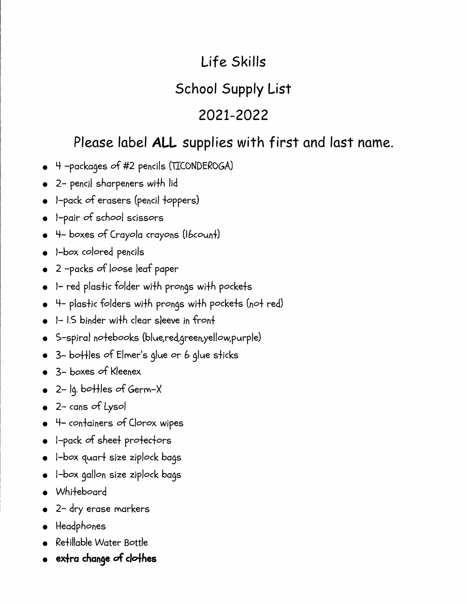# **Life Skills School Supply List 2021-2022**

## **Please label ALL supplies with first and last name.**

- 4 -packages of #2 pencils (TICONDEROGA)
- 2- penc;I sharpeners wifh lid
- I-pack of erasers (pencil foppers)
- I-pair of *school* scissors
- 4- boxes of Crayola crayons *(lbcoun+)*
- I-box colored pencils
- 2 -packs of *loose* leaf paper
- I- red plasfic folder wifh prongs wi+h pocke+s
- 4- plasfic folders wifh prongs wifh pockefs (nof red)
- I- 1.5 binder wi+h clear sleeve in fron+
- S-spiral nofebooks (blue,red,green,yellow,purple)
- 3- bo++les of Elmer's glue or b glue sficks
- 3- boxes of Kleenex
- 2- lg. bo+fles of Germ-X
- 2- cans of Lysol
- 4- confainers of Clorox wipes
- I-pack of shee+ profedors
- I-box quart size ziplock bags
- I-box gallon size ziplock bags
- Whifeboard
- 2- dry erase markers
- Headphones
- Refillable Water Bottle
- **ex+ra change of clo-1-hes**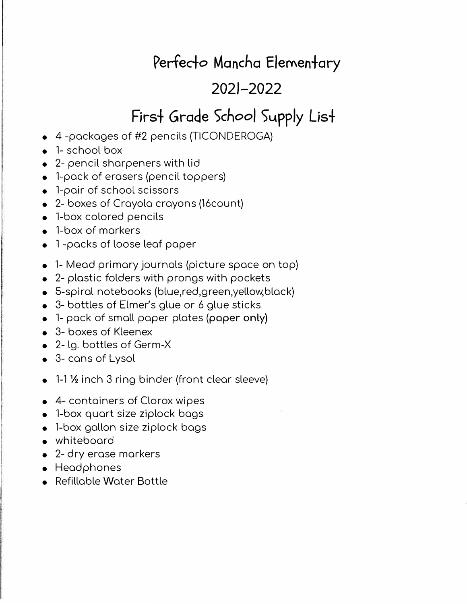## **Perfecfo Mancha Elemenfary**

## **2021-2022**

# First Grade School Supply List

- 4 -packages of #2 pencils (TICONDEROGA)
- 1- school box
- 2- pencil sharpeners with lid
- 1-pack of erasers (pencil toppers)
- 1-pair of school scissors
- 2- boxes of Crayola crayons (16count)
- 1-box colored pencils
- 1-box of markers
- 1 -packs of loose leaf paper
- 1- Mead primary journals (picture space on top)
- 2- plastic folders with prongs with pockets
- 5-spiral notebooks (blue,red,green,yellow,black)
- 3- bottles of Elmer's glue or 6 glue sticks
- 1- pack of small paper plates (paper only)
- 3- boxes of Kleenex
- 2- lg. bottles of Germ-X
- 3- cans of Lysol
- 1-1 1/<sub>2</sub> inch 3 ring binder (front clear sleeve)
- 4- containers of Clorox wipes
- 1-box quart size ziplock bags
- 1-box gallon size ziplock bags
- whiteboard
- 2- dry erase markers
- Headphones
- Refillable Water Bottle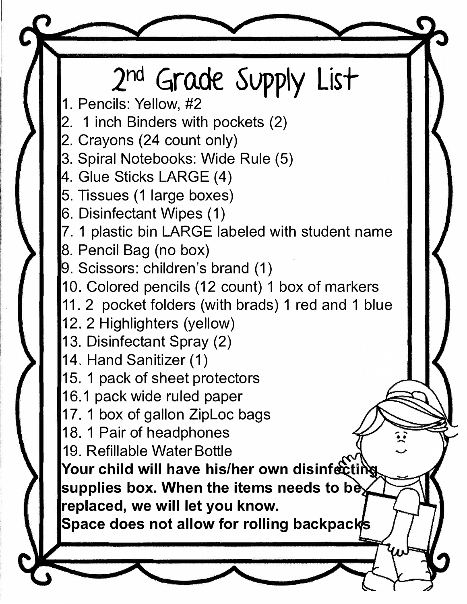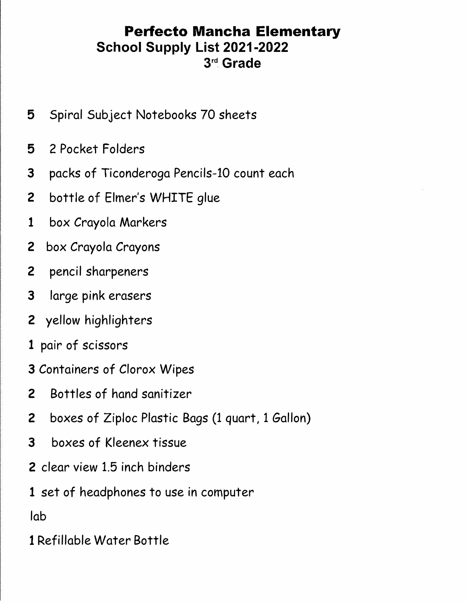## **Perfecto Mancha Elementary School Supply List 2021-2022 rd Grade**

- Spiral Subject Notebooks 70 sheets
- 2 Pocket Folders
- packs of Ticonderoga Pencils-10 count each
- 2 bottle of Elmer's WHITE glue
- box Crayola Markers
- box Crayola Crayons
- pencil sharpeners
- large pink erasers
- yellow highlighters
- pair of scissors
- Containers of Clorox Wipes
- Bottles of hand sanitizer
- 2 boxes of Ziploc Plastic Bags (1 quart, 1 Gallon)
- boxes of Kleenex tissue
- 2 clear view 1.5 inch binders
- set of headphones to use in computer

lab

Refillable Water Bottle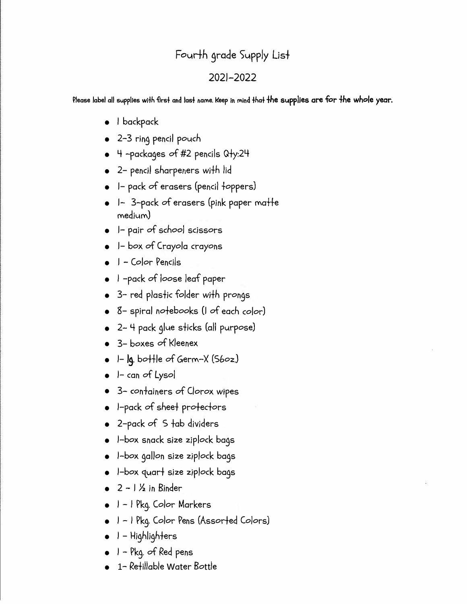## Fourth grade Supply List

### 2021-2022

Please label all supplies wlfh -firs+ and las+ name. Keep In mind +ha+ *+he* **s1.1pplies are for** *+he whole* **year.** 

- I backpack
- 2-3 rin9 pencil pouch
- 4 -packa9es of #2 pencils Qfy:24
- 2- pencil sharpeners wifh lid
- I- pack of erasers (pencil foppers)
- I- 3-pack of erasers (pink paper matte medium)
- I- pair of *school* scissors
- I- box of Crayola crayons
- I Color Peneils
- I -pack of loose leaf paper
- 3- red plasfic folder wifh pron9s
- 8- spiral nofebooks (I of *each* color)
- 2- 4 pack 9lue sficks (all purpose)
- 3- boxes of Kleenex
- I- **19.** bo+fle of Germ-X (Sboz.)
- I- can of Lysol
- 3- confainers of Clorox wipes
- I-pack of shee+ profecfors
- 2-pack of S tab dividers
- I-box snack size ziplock ba9s
- I-box 9allon size ziplock ba9s
- I-box quart size ziplock bags
- $\bullet$  2  $1\frac{1}{2}$  in Binder
- I I Pk9. Color Markers
- I I Pk9. Color Pens (Assor+ed Colors)
- I Highlighters
- I Pk9. of Red pens
- 1- Refillable Water Bottle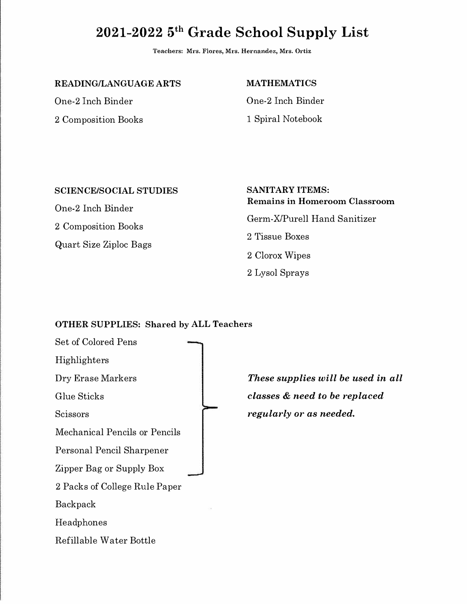## **2021-2022 5 th Grade School Supply List**

**Teachers: Mrs. Flores, M1·s. Hernandez, Mrs. Ortiz** 

**READING/LANGUAGE ARTS** 

One-2 Inch Binder 2 Composition Books **MATHEMATICS** 

One-2 Inch Binder 1 Spiral Notebook

#### **SCIENCE/SOCIAL STUDIES**

One-2 Inch Binder 2 Composition Books Quart Size Ziploc Bags **SANITARY ITEMS: Remains in Homeroom Classroom**  Germ-X/Purell Hand Sanitizer 2 Tissue Boxes 2 Clorox Wipes 2 Lysol Sprays

#### **OTHER SUPPLIES: Shared** by **ALL Teachers**

Set of Colored Pens Highlighters Dry Erase Markers Glue Sticks Scissors Mechanical Pencils or Pencils Personal Pencil Sharpener Zipper Bag or Supply Box 2 Packs of College Rule Paper Backpack Headphones Refillable Water Bottle

*These supplies will be used in all classes* & *need to be replaced regularly or as needed.*